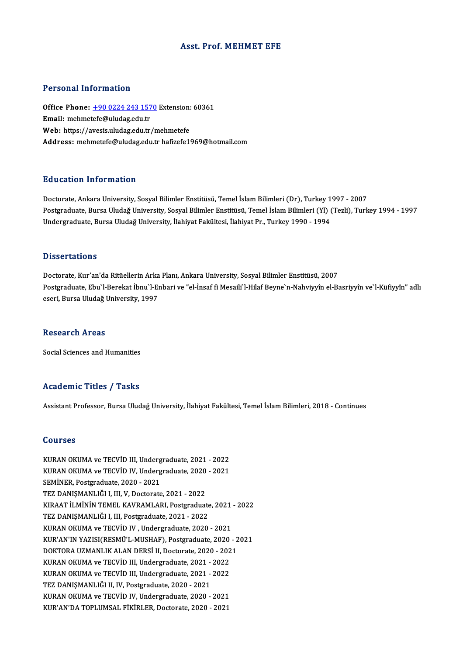# Asst. Prof.MEHMET EFE

# Personal Information

Personal Information<br>Office Phone: <u>+90 0224 243 1570</u> Extension: 60361<br>Email: mehmetefe@uludas.edu.tr Processing information<br>Office Phone: <u>+90 0224 243 157</u><br>Email: mehme[tefe@uludag.edu.tr](tel:+90 0224 243 1570) Office Phone: <u>+90 0224 243 1570</u> Extension:<br>Email: mehmetefe@uludag.edu.tr<br>Web: https://avesis.uludag.edu.tr/mehmetefe<br>Addressy mehmetefe@uludag.edu.tr/nehmetefe Email: mehmetefe@uludag.edu.tr<br>Web: https://avesis.uludag.edu.tr/mehmetefe<br>Address: mehmetefe@uludag.edu.tr hafizefe1969@hotmail.com

# Education Information

<mark>Education Information</mark><br>Doctorate, Ankara University, Sosyal Bilimler Enstitüsü, Temel İslam Bilimleri (Dr), Turkey 1997 - 2007<br>Postaraduata Bursa Uludağ University, Sosyal Bilimler Enstitüsü, Temel İslam Bilimleri (VL) (T Postgraduate, Bursa Uludağ University, Sosyal Bilimler Enstitüsü, Temel İslam Bilimleri (Yl) (Tezli), Turkey 1994 - 1997<br>Undergraduate, Bursa Uludağ University, İlahiyat Fakültesi, İlahiyat Pr., Turkey 1990 - 1994 Doctorate, Ankara University, Sosyal Bilimler Enstitüsü, Temel İslam Bilimleri (Dr), Turkey 1<br>Postgraduate, Bursa Uludağ University, Sosyal Bilimler Enstitüsü, Temel İslam Bilimleri (Yl) (<br>Undergraduate, Bursa Uludağ Unive

### **Dissertations**

Dissertations<br>Doctorate, Kur'an'da Ritüellerin Arka Planı, Ankara University, Sosyal Bilimler Enstitüsü, 2007<br>Postsraduata Ehu'l Barekat İbnu'l Enberi ve "el İnsaf fi Messik'l Hilef Boyne'n Nebyiya'n el Pe Postgraduate, Ebu`l-Berekat İbnu`l-Enbari ve "el-İnsaf fi Mesaili`l-Hilaf Beyne`n-Nahviyyîn el-Basriyyîn ve`l-Küfiyyîn" adlı<br>eseri, Bursa Uludağ University, 1997 Doctorate, Kur'an'da Ritüellerin Arka<br>Postgraduate, Ebu`l-Berekat İbnu`l-Eı<br>eseri, Bursa Uludağ University, 1997

#### Research Areas

Social Sciences and Humanities

# Academic Titles / Tasks

Assistant Professor, Bursa Uludağ University, İlahiyat Fakültesi, Temel İslam Bilimleri, 2018 - Continues

## Courses

Courses<br>KURAN OKUMA ve TECVİD III, Undergraduate, 2021 - 2022<br>KURAN OKUMA ve TECVİD IV, Undergraduate, 2020, 2021 SOGITSSS<br>KURAN OKUMA ve TECVİD III, Undergraduate, 2021 - 2022<br>KURAN OKUMA ve TECVİD IV, Undergraduate, 2020 - 2021<br>SEMİNER, Rostaraduata, 2020, -2021 KURAN OKUMA ve TECVİD III, Underg<br>KURAN OKUMA ve TECVİD IV, Underg<br>SEMİNER, Postgraduate, 2020 - 2021<br>TEZ DANISMANI IČLI, III, V. Doctorate KURAN OKUMA ve TECVİD IV, Undergraduate, 2020 - 2021<br>SEMİNER, Postgraduate, 2020 - 2021<br>TEZ DANIŞMANLIĞI I, III, V, Doctorate, 2021 - 2022 SEMİNER, Postgraduate, 2020 - 2021<br>TEZ DANIŞMANLIĞI I, III, V, Doctorate, 2021 - 2022<br>KIRAAT İLMİNİN TEMEL KAVRAMLARI, Postgraduate, 2021 - 2022<br>TEZ DANISMANLIĞI I III Bostgraduate, 2021 - 2022 TEZ DANIŞMANLIĞI I, III, V, Doctorate, 2021 - 2022<br>KIRAAT İLMİNİN TEMEL KAVRAMLARI, Postgraduate<br>TEZ DANIŞMANLIĞI I, III, Postgraduate, 2021 - 2022<br>KURAN OKUMA ve TECVİD IV, Undergraduate, 2020 KIRAAT İLMİNİN TEMEL KAVRAMLARI, Postgraduate, 2021<br>TEZ DANIŞMANLIĞI I, III, Postgraduate, 2021 - 2022<br>KURAN OKUMA ve TECVİD IV , Undergraduate, 2020 - 2021<br>KUR'AN'IN VAZISLOFSMÜ'L MUSHAE), Bostaraduate, 2020 TEZ DANIŞMANLIĞI I, III, Postgraduate, 2021 - 2022<br>KURAN OKUMA ve TECVİD IV , Undergraduate, 2020 - 2021<br>KUR'AN'IN YAZISI(RESMÜ'L-MUSHAF), Postgraduate, 2020 - 2021<br>DOKTORA UZMANLIK ALAN DERSİ IL Destersta, 2020 - 2021 KURAN OKUMA ve TECVİD IV , Undergraduate, 2020 - 2021<br>KUR'AN'IN YAZISI(RESMÜ'L-MUSHAF), Postgraduate, 2020 - 2<br>DOKTORA UZMANLIK ALAN DERSİ II, Doctorate, 2020 - 2021<br>KURAN OKUMA ve TECVİD III, Undergraduate, 2021 - 2022 KUR'AN'IN YAZISI(RESMÜ'L-MUSHAF), Postgraduate, 2020<br>DOKTORA UZMANLIK ALAN DERSİ II, Doctorate, 2020 - 202<br>KURAN OKUMA ve TECVİD III, Undergraduate, 2021 - 2022<br>KURAN OKUMA ve TECVİD III, Undergraduate, 2021 - 2022 DOKTORA UZMANLIK ALAN DERSİ II, Doctorate, 2020 - 2021<br>KURAN OKUMA ve TECVİD III, Undergraduate, 2021 - 2022<br>KURAN OKUMA ve TECVİD III, Undergraduate, 2021 - 2022<br>TEZ DANIŞMANLIĞI II, IV, Postgraduate, 2020 - 2021 KURAN OKUMA ve TECVİD III, Undergraduate, 2021 -<br>KURAN OKUMA ve TECVİD III, Undergraduate, 2021 -<br>TEZ DANIŞMANLIĞI II, IV, Postgraduate, 2020 - 2021<br>KURAN OKUMA ve TECVİD IV, Undergraduate, 2020 KURAN OKUMA ve TECVİD III, Undergraduate, 2021 - 2022<br>TEZ DANIŞMANLIĞI II, IV, Postgraduate, 2020 - 2021<br>KURAN OKUMA ve TECVİD IV, Undergraduate, 2020 - 2021<br>KUR'AN'DA TORLUMSAL FİKİRLER Dostarata 2020 - 2021 KURAN OKUMA ve TECVID IV, Undergraduate, 2020 - 2021<br>KUR'AN'DA TOPLUMSAL FİKİRLER, Doctorate, 2020 - 2021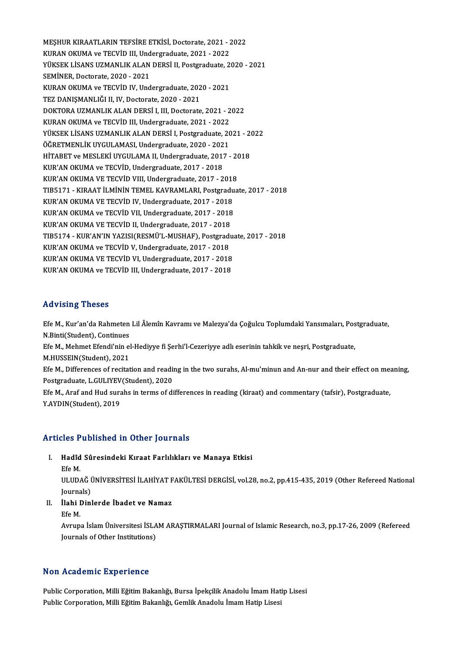MEŞHUR KIRAATLARIN TEFSİRE ETKİSİ, Doctorate, 2021 - 2022<br>KURAN OKUMA ve TECVİD UL Undergraduate, 2021 - 2022 MEŞHUR KIRAATLARIN TEFSİRE ETKİSİ, Doctorate, 2021 - 2<br>KURAN OKUMA ve TECVİD III, Undergraduate, 2021 - 2022<br>VÜKSEK LİSANS UZMANLIK ALAN DERSİ II. Postaraduate, 2 MEŞHUR KIRAATLARIN TEFSİRE ETKİSİ, Doctorate, 2021 - 2022<br>KURAN OKUMA ve TECVİD III, Undergraduate, 2021 - 2022<br>YÜKSEK LİSANS UZMANLIK ALAN DERSİ II, Postgraduate, 2020 - 2021<br>SEMİNER Doctorata 2020, 2021 KURAN OKUMA ve TECVİD III, Undergraduate, 2021 - 2022<br>YÜKSEK LİSANS UZMANLIK ALAN DERSİ II, Postgraduate, 2<br>SEMİNER. Doctorate. 2020 - 2021 YÜKSEK LİSANS UZMANLIK ALAN DERSİ II, Postgraduate, 2<br>SEMİNER, Doctorate, 2020 - 2021<br>KURAN OKUMA ve TECVİD IV, Undergraduate, 2020 - 2021<br>TEZ DANISMANI IČLU IV, Doctorata, 2020 - 2021 SEMİNER, Doctorate, 2020 - 2021<br>KURAN OKUMA ve TECVİD IV, Undergraduate, 202<br>TEZ DANIŞMANLIĞI II, IV, Doctorate, 2020 - 2021<br>DOKTORA UZMANLIK ALAN DERSİ LUL Doctorate KURAN OKUMA ve TECVİD IV, Undergraduate, 2020 - 2021<br>TEZ DANIŞMANLIĞI II, IV, Doctorate, 2020 - 2021<br>DOKTORA UZMANLIK ALAN DERSİ I, III, Doctorate, 2021 - 2022<br>KURAN OKUMA ve TECVİD III, Undergraduate, 2021 - 2022 TEZ DANIŞMANLIĞI II, IV, Doctorate, 2020 - 2021<br>DOKTORA UZMANLIK ALAN DERSİ I, III, Doctorate, 2021 - 2022<br>KURAN OKUMA ve TECVİD III, Undergraduate, 2021 - 2022 DOKTORA UZMANLIK ALAN DERSİ I, III, Doctorate, 2021 - 2022<br>KURAN OKUMA ve TECVİD III, Undergraduate, 2021 - 2022<br>YÜKSEK LİSANS UZMANLIK ALAN DERSİ I, Postgraduate, 2021 - 2022<br>ÖĞPETMENLİK UYCULAMASL Undergraduate, 2020 - 2 KURAN OKUMA ve TECVİD III, Undergraduate, 2021 - 2022<br>YÜKSEK LİSANS UZMANLIK ALAN DERSİ I, Postgraduate, 20<br>ÖĞRETMENLİK UYGULAMASI, Undergraduate, 2020 - 2021<br>HİTARET ve MESLEKİ UYÇULAMA IL Undergraduate, 2017 YÜKSEK LİSANS UZMANLIK ALAN DERSİ I, Postgraduate, 2021 - 20<br>ÖĞRETMENLİK UYGULAMASI, Undergraduate, 2020 - 2021<br>HİTABET ve MESLEKİ UYGULAMA II, Undergraduate, 2017 - 2018<br>KUR'AN OKUMA ve TECVİD, Undergraduate, 2017 - 2018 ÖĞRETMENLİK UYGULAMASI, Undergraduate, 2020 - 202<br>HİTABET ve MESLEKİ UYGULAMA II, Undergraduate, 2017<br>KUR'AN OKUMA VE TECVİD, Undergraduate, 2017 - 2018<br>KUR'AN OKUMA VE TECVİD VIII, Undergraduate, 2017 - 2 HİTABET ve MESLEKİ UYGULAMA II, Undergraduate, 2017 - 2018<br>KUR'AN OKUMA ve TECVİD, Undergraduate, 2017 - 2018<br>KUR'AN OKUMA VE TECVİD VIII, Undergraduate, 2017 - 2018 KUR'AN OKUMA ve TECVİD, Undergraduate, 2017 - 2018<br>KUR'AN OKUMA VE TECVİD VIII, Undergraduate, 2017 - 2018<br>TIB5171 - KIRAAT İLMİNİN TEMEL KAVRAMLARI, Postgraduate, 2017 - 2018<br>KUR'AN OKUMA VE TECVİD IV. Undergraduata, 2017 KUR'AN OKUMA VE TECVİD VIII, Undergraduate, 2017 - 2018<br>TIB5171 - KIRAAT İLMİNİN TEMEL KAVRAMLARI, Postgradu<br>KUR'AN OKUMA VE TECVİD IV, Undergraduate, 2017 - 2018<br>KUR'AN OKUMA ve TECVİD VII, Undergraduate, 2017 - 2018 TIB5171 - KIRAAT İLMİNİN TEMEL KAVRAMLARI, Postgradu<br>KUR'AN OKUMA VE TECVİD IV, Undergraduate, 2017 - 2018<br>KUR'AN OKUMA VE TECVİD II, Undergraduate, 2017 - 2018<br>KUR'AN OKUMA VE TECVİD II, Undergraduate, 2017 - 2018 KUR'AN OKUMA VE TECVİD IV, Undergraduate, 2017 - 2018<br>KUR'AN OKUMA ve TECVİD VII, Undergraduate, 2017 - 2018<br>KUR'AN OKUMA VE TECVİD II, Undergraduate, 2017 - 2018 TIB5174 -KUR'AN'INYAZISI(RESMÜ'L-MUSHAF),Postgraduate,2017 -2018 KUR'AN OKUMA ve TECVID V, Undergraduate, 2017 - 2018 TIB5174 - KUR'AN'IN YAZISI(RESMÜ'L-MUSHAF), Postgradu<br>KUR'AN OKUMA ve TECVİD V, Undergraduate, 2017 - 2018<br>KUR'AN OKUMA VE TECVİD VI, Undergraduate, 2017 - 2018<br>KUR'AN OKUMA ve TECVİD UL Undergraduate, 2017 - 2018 KUR'AN OKUMA ve TECVİD V, Undergraduate, 2017 - 2018<br>KUR'AN OKUMA VE TECVİD VI, Undergraduate, 2017 - 2018<br>KUR'AN OKUMA ve TECVİD III, Undergraduate, 2017 - 2018 KUR'AN OKUMA ve TECVID III, Undergraduate, 2017 - 2018<br>Advising Theses

**Advising Theses**<br>Efe M., Kur'an'da Rahmeten Lil Âlemîn Kavramı ve Malezya'da Çoğulcu Toplumdaki Yansımaları, Postgraduate,<br>N.Rinti(Student), Continues nd vienig inceed<br>Efe M., Kur'an'da Rahmeten<br>N.Binti(Student), Continues<br>Efe M. Mehmet Efendi'nin el Efe M., Kur'an'da Rahmeten Lil Âlemîn Kavramı ve Malezya'da Çoğulcu Toplumdaki Yansımaları, Pos<br>N.Binti(Student), Continues<br>Efe M., Mehmet Efendi'nin el-Hediyye fi Şerhi'l-Cezeriyye adlı eserinin tahkik ve neşri, Postgradu N.Binti(Student), Continues<br>Efe M., Mehmet Efendi'nin el-Hediyye fi Şerhi'l-Cezeriyye adlı eserinin tahkik ve neşri, Postgraduate,<br>M.HUSSEIN(Student), 2021 Efe M., Mehmet Efendi'nin el-Hediyye fi Şerhi'l-Cezeriyye adlı eserinin tahkik ve neşri, Postgraduate,<br>M.HUSSEIN(Student), 2021<br>Efe M., Differences of recitation and reading in the two surahs, Al-mu'minun and An-nur and th M.HUSSEIN(Student), 2021<br>Efe M., Differences of recitation and readin<br>Postgraduate, L.GULIYEV(Student), 2020<br>Efe M. Aref and Hud surabe in tarma of di Efe M., Differences of recitation and reading in the two surahs, Al-mu'minun and An-nur and their effect on mea<br>Postgraduate, L.GULIYEV(Student), 2020<br>Efe M., Araf and Hud surahs in terms of differences in reading (kiraat) Postgraduate, L.GULIYEV(Student), 2020<br>Efe M., Araf and Hud surahs in terms of differences in reading (kiraat) and commentary (tafsir), Postgraduate,<br>Y.AYDIN(Student), 2019

# Articles Published in Other Journals

- rticles Published in Other Journals<br>I. Hadîd Sûresindeki Kıraat Farlılıkları ve Manaya Etkisi<br>Ffo M د عدد<br>Hadîd<br>Efe M.
	-

Hadîd Sûresindeki Kıraat Farlılıkları ve Manaya Etkisi<br>Efe M.<br>ULUDAĞ ÜNİVERSİTESİ İLAHİYAT FAKÜLTESİ DERGİSİ, vol.28, no.2, pp.415-435, 2019 (Other Refereed National Efe M.<br>ULUDAĞ (<br>Journals)<br>İlebi Dinl ULUDAĞ ÜNİVERSİTESİ İLAHİYAT F<br>Journals)<br>II. İlahi Dinlerde İbadet ve Namaz<br>Ffo M

Journals)<br>II. **İlahi Dinlerde İbadet ve Namaz**<br>Efe M.

Avrupa İslam Üniversitesi İSLAM ARAŞTIRMALARI Journal of Islamic Research, no.3, pp.17-26, 2009 (Refereed Journals of Other Institutions)

## Non Academic Experience

Non Academic Experience<br>Public Corporation, Milli Eğitim Bakanlığı, Bursa İpekçilik Anadolu İmam Hatip Lisesi<br>Public Corporation Milli Eğitim Bakanlığı, Cemlik Anadolu İmam Hatip Lisesi rvon rreduomre zmporrence<br>Public Corporation, Milli Eğitim Bakanlığı, Bursa İpekçilik Anadolu İmam Hat<br>Public Corporation, Milli Eğitim Bakanlığı, Gemlik Anadolu İmam Hatip Lisesi